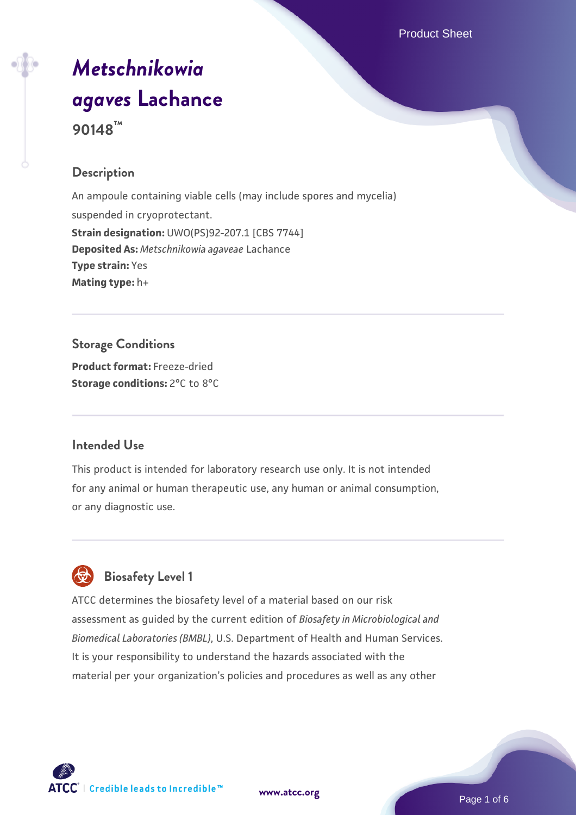# *[Metschnikowia](https://www.atcc.org/products/90148) [agaves](https://www.atcc.org/products/90148)* **[Lachance](https://www.atcc.org/products/90148) 90148™**

### **Description**

An ampoule containing viable cells (may include spores and mycelia) suspended in cryoprotectant. **Strain designation:** UWO(PS)92-207.1 [CBS 7744] **Deposited As:** *Metschnikowia agaveae* Lachance **Type strain:** Yes **Mating type:** h+

#### **Storage Conditions**

**Product format:** Freeze-dried **Storage conditions:** 2°C to 8°C

#### **Intended Use**

This product is intended for laboratory research use only. It is not intended for any animal or human therapeutic use, any human or animal consumption, or any diagnostic use.



## **Biosafety Level 1**

ATCC determines the biosafety level of a material based on our risk assessment as guided by the current edition of *Biosafety in Microbiological and Biomedical Laboratories (BMBL)*, U.S. Department of Health and Human Services. It is your responsibility to understand the hazards associated with the material per your organization's policies and procedures as well as any other



**[www.atcc.org](http://www.atcc.org)**

Page 1 of 6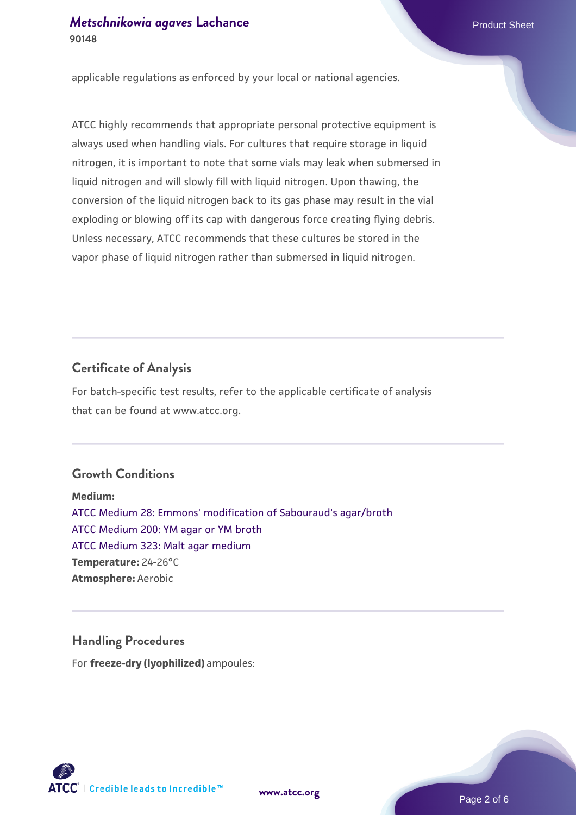applicable regulations as enforced by your local or national agencies.

ATCC highly recommends that appropriate personal protective equipment is always used when handling vials. For cultures that require storage in liquid nitrogen, it is important to note that some vials may leak when submersed in liquid nitrogen and will slowly fill with liquid nitrogen. Upon thawing, the conversion of the liquid nitrogen back to its gas phase may result in the vial exploding or blowing off its cap with dangerous force creating flying debris. Unless necessary, ATCC recommends that these cultures be stored in the vapor phase of liquid nitrogen rather than submersed in liquid nitrogen.

#### **Certificate of Analysis**

For batch-specific test results, refer to the applicable certificate of analysis that can be found at www.atcc.org.

#### **Growth Conditions**

**Medium:**  [ATCC Medium 28: Emmons' modification of Sabouraud's agar/broth](https://www.atcc.org/-/media/product-assets/documents/microbial-media-formulations/2/8/atcc-medium-28.pdf?rev=0da0c58cc2a343eeae735016b70809bb) [ATCC Medium 200: YM agar or YM broth](https://www.atcc.org/-/media/product-assets/documents/microbial-media-formulations/2/0/0/atcc-medium-200.pdf?rev=ac40fd74dc13433a809367b0b9da30fc) [ATCC Medium 323: Malt agar medium](https://www.atcc.org/-/media/product-assets/documents/microbial-media-formulations/3/2/3/atcc-medium-323.pdf?rev=58d6457ee20149d7a1c844947569ef92) **Temperature:** 24-26°C **Atmosphere:** Aerobic

#### **Handling Procedures**

For **freeze-dry (lyophilized)** ampoules:

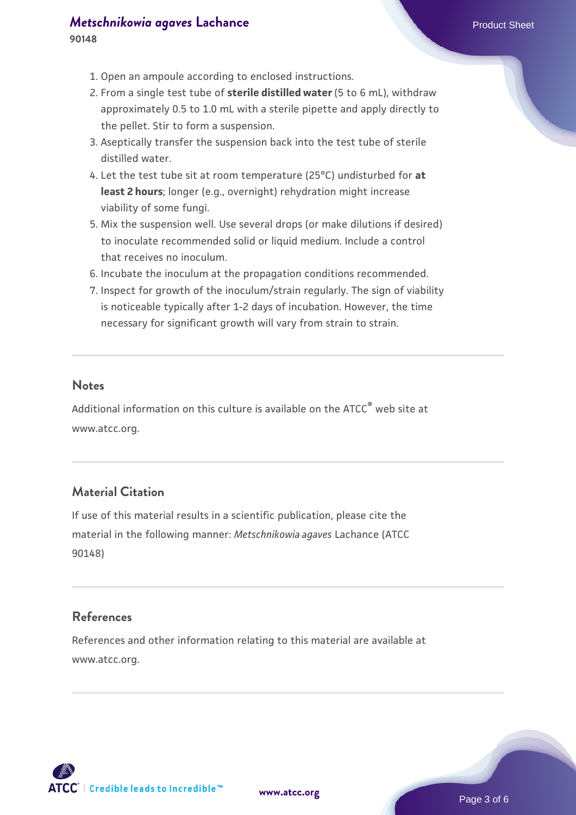# *[Metschnikowia agaves](https://www.atcc.org/products/90148)* [Lachance](https://www.atcc.org/products/90148) **Product Sheet** Product Sheet

- 1. Open an ampoule according to enclosed instructions.
- 2. From a single test tube of **sterile distilled water** (5 to 6 mL), withdraw approximately 0.5 to 1.0 mL with a sterile pipette and apply directly to the pellet. Stir to form a suspension.
- 3. Aseptically transfer the suspension back into the test tube of sterile distilled water.
- Let the test tube sit at room temperature (25°C) undisturbed for **at** 4. **least 2 hours**; longer (e.g., overnight) rehydration might increase viability of some fungi.
- 5. Mix the suspension well. Use several drops (or make dilutions if desired) to inoculate recommended solid or liquid medium. Include a control that receives no inoculum.
- 6. Incubate the inoculum at the propagation conditions recommended.
- 7. Inspect for growth of the inoculum/strain regularly. The sign of viability is noticeable typically after 1-2 days of incubation. However, the time necessary for significant growth will vary from strain to strain.

#### **Notes**

Additional information on this culture is available on the ATCC® web site at www.atcc.org.

#### **Material Citation**

If use of this material results in a scientific publication, please cite the material in the following manner: *Metschnikowia agaves* Lachance (ATCC 90148)

#### **References**

References and other information relating to this material are available at www.atcc.org.

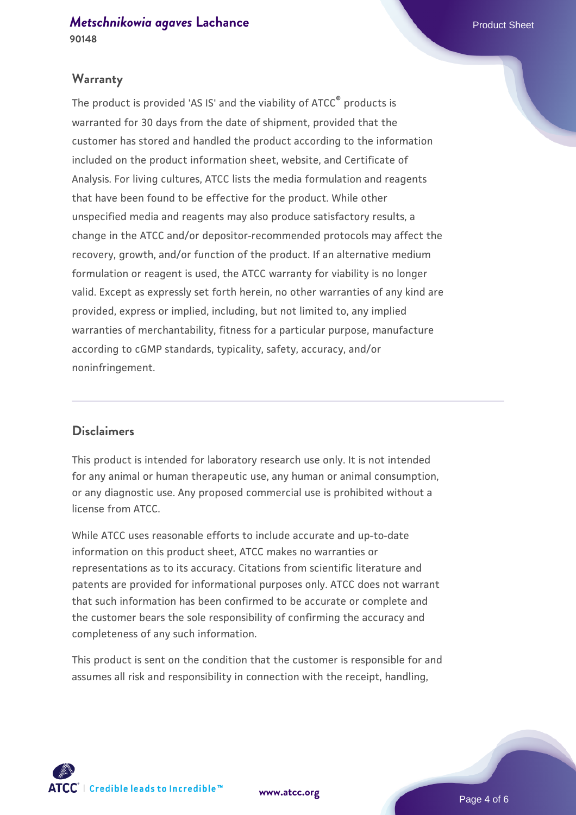#### **Warranty**

The product is provided 'AS IS' and the viability of ATCC® products is warranted for 30 days from the date of shipment, provided that the customer has stored and handled the product according to the information included on the product information sheet, website, and Certificate of Analysis. For living cultures, ATCC lists the media formulation and reagents that have been found to be effective for the product. While other unspecified media and reagents may also produce satisfactory results, a change in the ATCC and/or depositor-recommended protocols may affect the recovery, growth, and/or function of the product. If an alternative medium formulation or reagent is used, the ATCC warranty for viability is no longer valid. Except as expressly set forth herein, no other warranties of any kind are provided, express or implied, including, but not limited to, any implied warranties of merchantability, fitness for a particular purpose, manufacture according to cGMP standards, typicality, safety, accuracy, and/or noninfringement.

#### **Disclaimers**

This product is intended for laboratory research use only. It is not intended for any animal or human therapeutic use, any human or animal consumption, or any diagnostic use. Any proposed commercial use is prohibited without a license from ATCC.

While ATCC uses reasonable efforts to include accurate and up-to-date information on this product sheet, ATCC makes no warranties or representations as to its accuracy. Citations from scientific literature and patents are provided for informational purposes only. ATCC does not warrant that such information has been confirmed to be accurate or complete and the customer bears the sole responsibility of confirming the accuracy and completeness of any such information.

This product is sent on the condition that the customer is responsible for and assumes all risk and responsibility in connection with the receipt, handling,



**[www.atcc.org](http://www.atcc.org)**

Page 4 of 6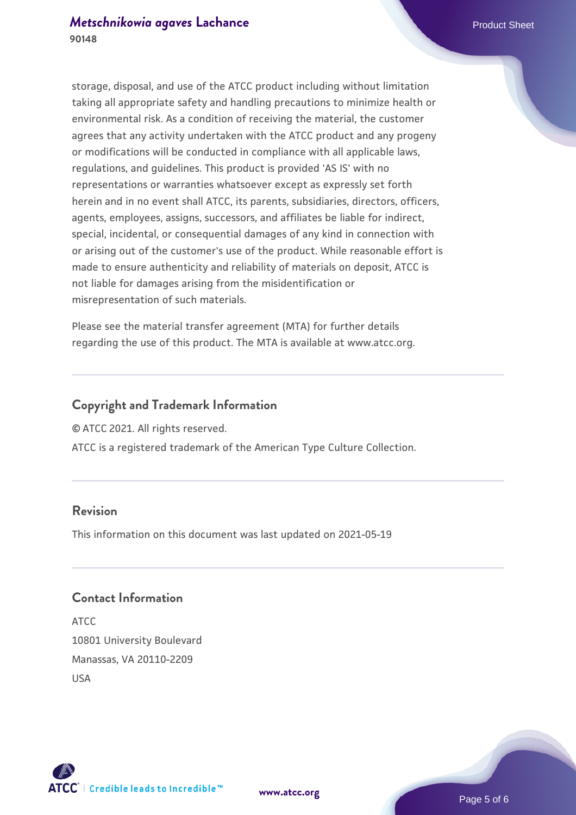storage, disposal, and use of the ATCC product including without limitation taking all appropriate safety and handling precautions to minimize health or environmental risk. As a condition of receiving the material, the customer agrees that any activity undertaken with the ATCC product and any progeny or modifications will be conducted in compliance with all applicable laws, regulations, and guidelines. This product is provided 'AS IS' with no representations or warranties whatsoever except as expressly set forth herein and in no event shall ATCC, its parents, subsidiaries, directors, officers, agents, employees, assigns, successors, and affiliates be liable for indirect, special, incidental, or consequential damages of any kind in connection with or arising out of the customer's use of the product. While reasonable effort is made to ensure authenticity and reliability of materials on deposit, ATCC is not liable for damages arising from the misidentification or misrepresentation of such materials.

Please see the material transfer agreement (MTA) for further details regarding the use of this product. The MTA is available at www.atcc.org.

#### **Copyright and Trademark Information**

© ATCC 2021. All rights reserved.

ATCC is a registered trademark of the American Type Culture Collection.

#### **Revision**

This information on this document was last updated on 2021-05-19

#### **Contact Information**

ATCC 10801 University Boulevard Manassas, VA 20110-2209 USA